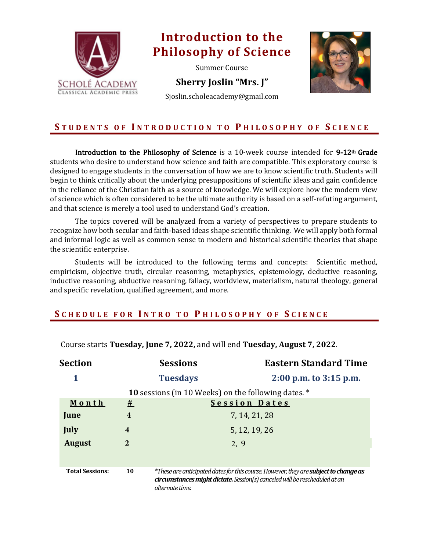

# **Introduction to the Philosophy of Science**

Summer Course

**Sherry Joslin "Mrs. J"** 

Sjoslin.scholeacademy@gmail.com



### **S TUDENTS O F I NTR ODUCTION TO P HILOSOPHY OF S C IENCE**

Introduction to the Philosophy of Science is a 10-week course intended for  $9-12<sup>th</sup>$  Grade students who desire to understand how science and faith are compatible. This exploratory course is designed to engage students in the conversation of how we are to know scientific truth. Students will begin to think critically about the underlying presuppositions of scientific ideas and gain confidence in the reliance of the Christian faith as a source of knowledge. We will explore how the modern view of science which is often considered to be the ultimate authority is based on a self-refuting argument, and that science is merely a tool used to understand God's creation.

The topics covered will be analyzed from a variety of perspectives to prepare students to recognize how both secular and faith-based ideas shape scientific thinking. We will apply both formal and informal logic as well as common sense to modern and historical scientific theories that shape the scientific enterprise.

Students will be introduced to the following terms and concepts: Scientific method, empiricism, objective truth, circular reasoning, metaphysics, epistemology, deductive reasoning, inductive reasoning, abductive reasoning, fallacy, worldview, materialism, natural theology, general and specific revelation, qualified agreement, and more.

#### **S CHEDULE FOR I N T R O T O P HILOSOPHY OF S C IENCE**

| Section                |                         | <b>Sessions</b>                                                                                                                                                                              | <b>Eastern Standard Time</b> |  |
|------------------------|-------------------------|----------------------------------------------------------------------------------------------------------------------------------------------------------------------------------------------|------------------------------|--|
| 1                      |                         | <b>Tuesdays</b>                                                                                                                                                                              | $2:00$ p.m. to $3:15$ p.m.   |  |
|                        |                         | 10 sessions (in 10 Weeks) on the following dates. *                                                                                                                                          |                              |  |
| Month                  | #                       |                                                                                                                                                                                              | <b>Session Dates</b>         |  |
| June                   | $\overline{\mathbf{4}}$ |                                                                                                                                                                                              | 7, 14, 21, 28                |  |
| July                   | 4                       |                                                                                                                                                                                              | 5, 12, 19, 26                |  |
| <b>August</b>          | 2                       |                                                                                                                                                                                              | 2, 9                         |  |
|                        |                         |                                                                                                                                                                                              |                              |  |
| <b>Total Sessions:</b> | 10                      | *These are anticipated dates for this course. However, they are <b>subject to change as</b><br>circumstances might dictate. Session(s) canceled will be rescheduled at an<br>alternate time. |                              |  |

Course starts Tuesday, June 7, 2022, and will end Tuesday, August 7, 2022.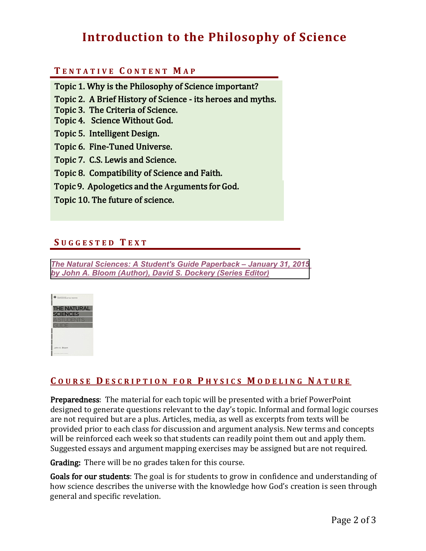# **Introduction to the Philosophy of Science**

## **T ENTATIVE C ONTENT M A P**

Topic 1. Why is the Philosophy of Science important?

- Topic 2. A Brief History of Science its heroes and myths.
- Topic 3. The Criteria of Science.
- Topic 4. Science Without God.
- Topic 5. Intelligent Design.
- Topic 6. Fine-Tuned Universe.
- Topic 7. C.S. Lewis and Science.
- Topic 8. Compatibility of Science and Faith.
- Topic 9. Apologetics and the Arguments for God.
- Topic 10. The future of science.

### **S UGGESTED T EXT**

*[The Natural Sciences: A Student's Guide](https://www.amazon.com/Natural-Sciences-Students-Guide/dp/1433539357/ref=sr_1_1?crid=1RPMFR5D4BVBX&keywords=the+natural+sciences+a+student%27s+guide&qid=1648232450&sprefix=the+student+guide+to+natural+science%2Caps%2C92&sr=8-1) Paperback – January 31, 2015 by John A. Bloom (Author), David S. Dockery (Series Editor)*



## **C OURSE D ESCRIPTION FOR P HYSICS M ODELING N ATURE**

**Preparedness:** The material for each topic will be presented with a brief PowerPoint designed to generate questions relevant to the day's topic. Informal and formal logic courses are not required but are a plus. Articles, media, as well as excerpts from texts will be provided prior to each class for discussion and argument analysis. New terms and concepts will be reinforced each week so that students can readily point them out and apply them. Suggested essays and argument mapping exercises may be assigned but are not required.

**Grading:** There will be no grades taken for this course.

Goals for our students: The goal is for students to grow in confidence and understanding of how science describes the universe with the knowledge how God's creation is seen through general and specific revelation.